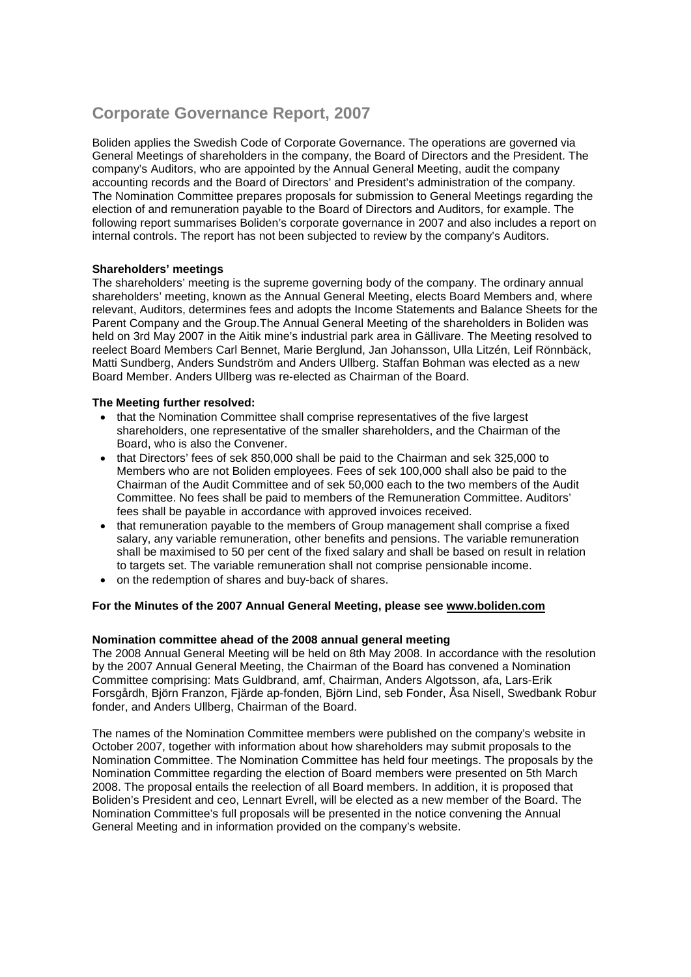# **Corporate Governance Report, 2007**

Boliden applies the Swedish Code of Corporate Governance. The operations are governed via General Meetings of shareholders in the company, the Board of Directors and the President. The company's Auditors, who are appointed by the Annual General Meeting, audit the company accounting records and the Board of Directors' and President's administration of the company. The Nomination Committee prepares proposals for submission to General Meetings regarding the election of and remuneration payable to the Board of Directors and Auditors, for example. The following report summarises Boliden's corporate governance in 2007 and also includes a report on internal controls. The report has not been subjected to review by the company's Auditors.

# **Shareholders' meetings**

The shareholders' meeting is the supreme governing body of the company. The ordinary annual shareholders' meeting, known as the Annual General Meeting, elects Board Members and, where relevant, Auditors, determines fees and adopts the Income Statements and Balance Sheets for the Parent Company and the Group.The Annual General Meeting of the shareholders in Boliden was held on 3rd May 2007 in the Aitik mine's industrial park area in Gällivare. The Meeting resolved to reelect Board Members Carl Bennet, Marie Berglund, Jan Johansson, Ulla Litzén, Leif Rönnbäck, Matti Sundberg, Anders Sundström and Anders Ullberg. Staffan Bohman was elected as a new Board Member. Anders Ullberg was re-elected as Chairman of the Board.

#### **The Meeting further resolved:**

- that the Nomination Committee shall comprise representatives of the five largest shareholders, one representative of the smaller shareholders, and the Chairman of the Board, who is also the Convener.
- that Directors' fees of sek 850,000 shall be paid to the Chairman and sek 325,000 to Members who are not Boliden employees. Fees of sek 100,000 shall also be paid to the Chairman of the Audit Committee and of sek 50,000 each to the two members of the Audit Committee. No fees shall be paid to members of the Remuneration Committee. Auditors' fees shall be payable in accordance with approved invoices received.
- that remuneration payable to the members of Group management shall comprise a fixed salary, any variable remuneration, other benefits and pensions. The variable remuneration shall be maximised to 50 per cent of the fixed salary and shall be based on result in relation to targets set. The variable remuneration shall not comprise pensionable income.
- on the redemption of shares and buy-back of shares.

# **For the Minutes of the 2007 Annual General Meeting, please see www.boliden.com**

#### **Nomination committee ahead of the 2008 annual general meeting**

The 2008 Annual General Meeting will be held on 8th May 2008. In accordance with the resolution by the 2007 Annual General Meeting, the Chairman of the Board has convened a Nomination Committee comprising: Mats Guldbrand, amf, Chairman, Anders Algotsson, afa, Lars-Erik Forsgårdh, Björn Franzon, Fjärde ap-fonden, Björn Lind, seb Fonder, Åsa Nisell, Swedbank Robur fonder, and Anders Ullberg, Chairman of the Board.

The names of the Nomination Committee members were published on the company's website in October 2007, together with information about how shareholders may submit proposals to the Nomination Committee. The Nomination Committee has held four meetings. The proposals by the Nomination Committee regarding the election of Board members were presented on 5th March 2008. The proposal entails the reelection of all Board members. In addition, it is proposed that Boliden's President and ceo, Lennart Evrell, will be elected as a new member of the Board. The Nomination Committee's full proposals will be presented in the notice convening the Annual General Meeting and in information provided on the company's website.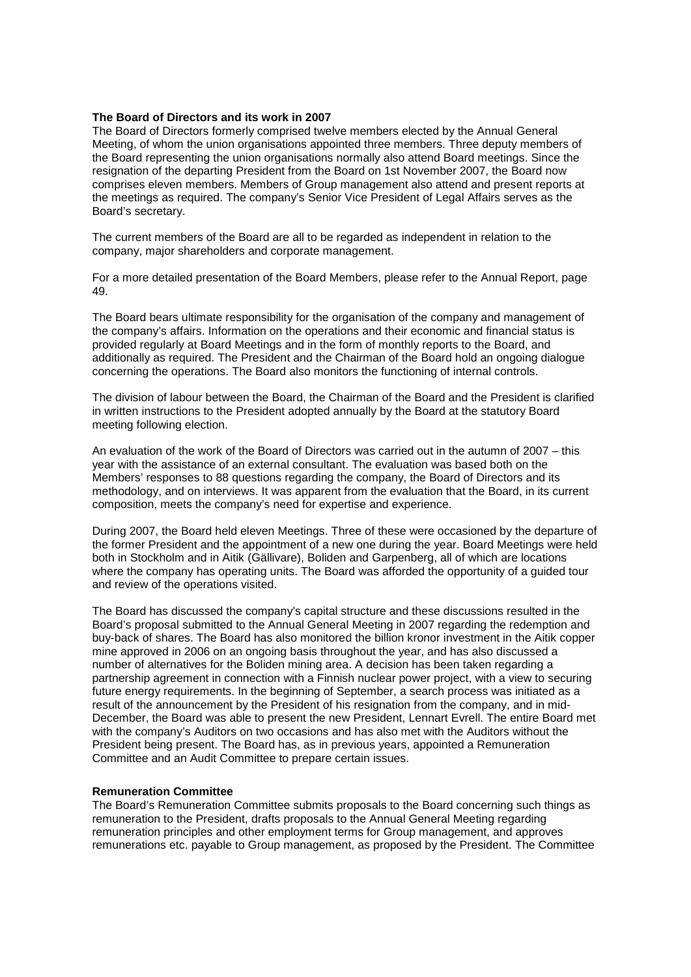#### **The Board of Directors and its work in 2007**

The Board of Directors formerly comprised twelve members elected by the Annual General Meeting, of whom the union organisations appointed three members. Three deputy members of the Board representing the union organisations normally also attend Board meetings. Since the resignation of the departing President from the Board on 1st November 2007, the Board now comprises eleven members. Members of Group management also attend and present reports at the meetings as required. The company's Senior Vice President of Legal Affairs serves as the Board's secretary.

The current members of the Board are all to be regarded as independent in relation to the company, major shareholders and corporate management.

For a more detailed presentation of the Board Members, please refer to the Annual Report, page 49.

The Board bears ultimate responsibility for the organisation of the company and management of the company's affairs. Information on the operations and their economic and financial status is provided regularly at Board Meetings and in the form of monthly reports to the Board, and additionally as required. The President and the Chairman of the Board hold an ongoing dialogue concerning the operations. The Board also monitors the functioning of internal controls.

The division of labour between the Board, the Chairman of the Board and the President is clarified in written instructions to the President adopted annually by the Board at the statutory Board meeting following election.

An evaluation of the work of the Board of Directors was carried out in the autumn of 2007 – this year with the assistance of an external consultant. The evaluation was based both on the Members' responses to 88 questions regarding the company, the Board of Directors and its methodology, and on interviews. It was apparent from the evaluation that the Board, in its current composition, meets the company's need for expertise and experience.

During 2007, the Board held eleven Meetings. Three of these were occasioned by the departure of the former President and the appointment of a new one during the year. Board Meetings were held both in Stockholm and in Aitik (Gällivare), Boliden and Garpenberg, all of which are locations where the company has operating units. The Board was afforded the opportunity of a guided tour and review of the operations visited.

The Board has discussed the company's capital structure and these discussions resulted in the Board's proposal submitted to the Annual General Meeting in 2007 regarding the redemption and buy-back of shares. The Board has also monitored the billion kronor investment in the Aitik copper mine approved in 2006 on an ongoing basis throughout the year, and has also discussed a number of alternatives for the Boliden mining area. A decision has been taken regarding a partnership agreement in connection with a Finnish nuclear power project, with a view to securing future energy requirements. In the beginning of September, a search process was initiated as a result of the announcement by the President of his resignation from the company, and in mid-December, the Board was able to present the new President, Lennart Evrell. The entire Board met with the company's Auditors on two occasions and has also met with the Auditors without the President being present. The Board has, as in previous years, appointed a Remuneration Committee and an Audit Committee to prepare certain issues.

#### **Remuneration Committee**

The Board's Remuneration Committee submits proposals to the Board concerning such things as remuneration to the President, drafts proposals to the Annual General Meeting regarding remuneration principles and other employment terms for Group management, and approves remunerations etc. payable to Group management, as proposed by the President. The Committee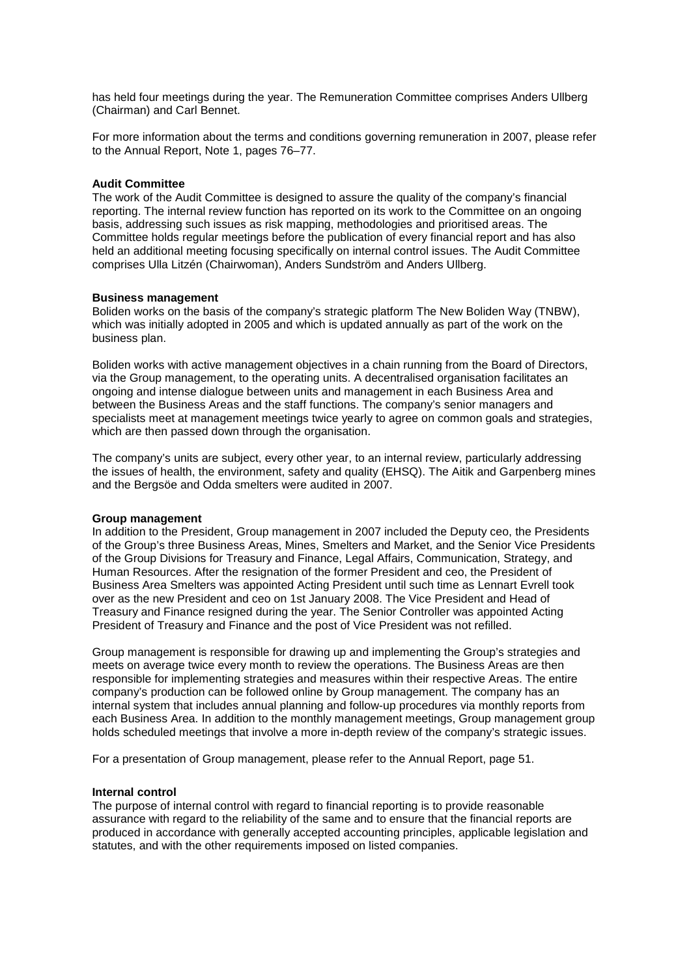has held four meetings during the year. The Remuneration Committee comprises Anders Ullberg (Chairman) and Carl Bennet.

For more information about the terms and conditions governing remuneration in 2007, please refer to the Annual Report, Note 1, pages 76–77.

#### **Audit Committee**

The work of the Audit Committee is designed to assure the quality of the company's financial reporting. The internal review function has reported on its work to the Committee on an ongoing basis, addressing such issues as risk mapping, methodologies and prioritised areas. The Committee holds regular meetings before the publication of every financial report and has also held an additional meeting focusing specifically on internal control issues. The Audit Committee comprises Ulla Litzén (Chairwoman), Anders Sundström and Anders Ullberg.

#### **Business management**

Boliden works on the basis of the company's strategic platform The New Boliden Way (TNBW), which was initially adopted in 2005 and which is updated annually as part of the work on the business plan.

Boliden works with active management objectives in a chain running from the Board of Directors, via the Group management, to the operating units. A decentralised organisation facilitates an ongoing and intense dialogue between units and management in each Business Area and between the Business Areas and the staff functions. The company's senior managers and specialists meet at management meetings twice yearly to agree on common goals and strategies, which are then passed down through the organisation.

The company's units are subject, every other year, to an internal review, particularly addressing the issues of health, the environment, safety and quality (EHSQ). The Aitik and Garpenberg mines and the Bergsöe and Odda smelters were audited in 2007.

#### **Group management**

In addition to the President, Group management in 2007 included the Deputy ceo, the Presidents of the Group's three Business Areas, Mines, Smelters and Market, and the Senior Vice Presidents of the Group Divisions for Treasury and Finance, Legal Affairs, Communication, Strategy, and Human Resources. After the resignation of the former President and ceo, the President of Business Area Smelters was appointed Acting President until such time as Lennart Evrell took over as the new President and ceo on 1st January 2008. The Vice President and Head of Treasury and Finance resigned during the year. The Senior Controller was appointed Acting President of Treasury and Finance and the post of Vice President was not refilled.

Group management is responsible for drawing up and implementing the Group's strategies and meets on average twice every month to review the operations. The Business Areas are then responsible for implementing strategies and measures within their respective Areas. The entire company's production can be followed online by Group management. The company has an internal system that includes annual planning and follow-up procedures via monthly reports from each Business Area. In addition to the monthly management meetings, Group management group holds scheduled meetings that involve a more in-depth review of the company's strategic issues.

For a presentation of Group management, please refer to the Annual Report, page 51.

#### **Internal control**

The purpose of internal control with regard to financial reporting is to provide reasonable assurance with regard to the reliability of the same and to ensure that the financial reports are produced in accordance with generally accepted accounting principles, applicable legislation and statutes, and with the other requirements imposed on listed companies.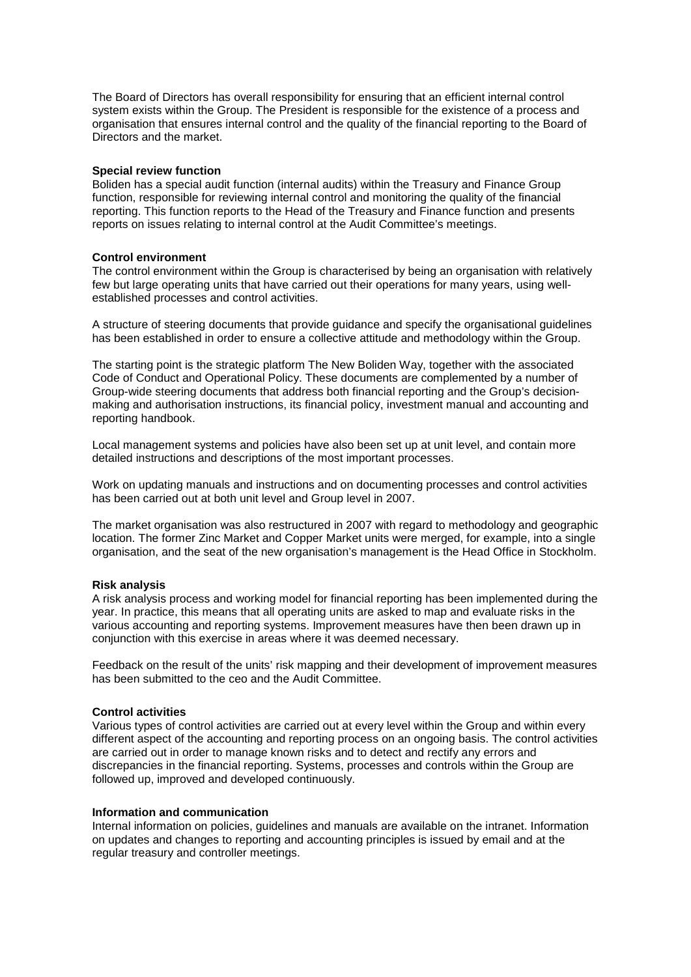The Board of Directors has overall responsibility for ensuring that an efficient internal control system exists within the Group. The President is responsible for the existence of a process and organisation that ensures internal control and the quality of the financial reporting to the Board of Directors and the market.

# **Special review function**

Boliden has a special audit function (internal audits) within the Treasury and Finance Group function, responsible for reviewing internal control and monitoring the quality of the financial reporting. This function reports to the Head of the Treasury and Finance function and presents reports on issues relating to internal control at the Audit Committee's meetings.

### **Control environment**

The control environment within the Group is characterised by being an organisation with relatively few but large operating units that have carried out their operations for many years, using wellestablished processes and control activities.

A structure of steering documents that provide guidance and specify the organisational guidelines has been established in order to ensure a collective attitude and methodology within the Group.

The starting point is the strategic platform The New Boliden Way, together with the associated Code of Conduct and Operational Policy. These documents are complemented by a number of Group-wide steering documents that address both financial reporting and the Group's decisionmaking and authorisation instructions, its financial policy, investment manual and accounting and reporting handbook.

Local management systems and policies have also been set up at unit level, and contain more detailed instructions and descriptions of the most important processes.

Work on updating manuals and instructions and on documenting processes and control activities has been carried out at both unit level and Group level in 2007.

The market organisation was also restructured in 2007 with regard to methodology and geographic location. The former Zinc Market and Copper Market units were merged, for example, into a single organisation, and the seat of the new organisation's management is the Head Office in Stockholm.

#### **Risk analysis**

A risk analysis process and working model for financial reporting has been implemented during the year. In practice, this means that all operating units are asked to map and evaluate risks in the various accounting and reporting systems. Improvement measures have then been drawn up in conjunction with this exercise in areas where it was deemed necessary.

Feedback on the result of the units' risk mapping and their development of improvement measures has been submitted to the ceo and the Audit Committee.

#### **Control activities**

Various types of control activities are carried out at every level within the Group and within every different aspect of the accounting and reporting process on an ongoing basis. The control activities are carried out in order to manage known risks and to detect and rectify any errors and discrepancies in the financial reporting. Systems, processes and controls within the Group are followed up, improved and developed continuously.

#### **Information and communication**

Internal information on policies, guidelines and manuals are available on the intranet. Information on updates and changes to reporting and accounting principles is issued by email and at the regular treasury and controller meetings.